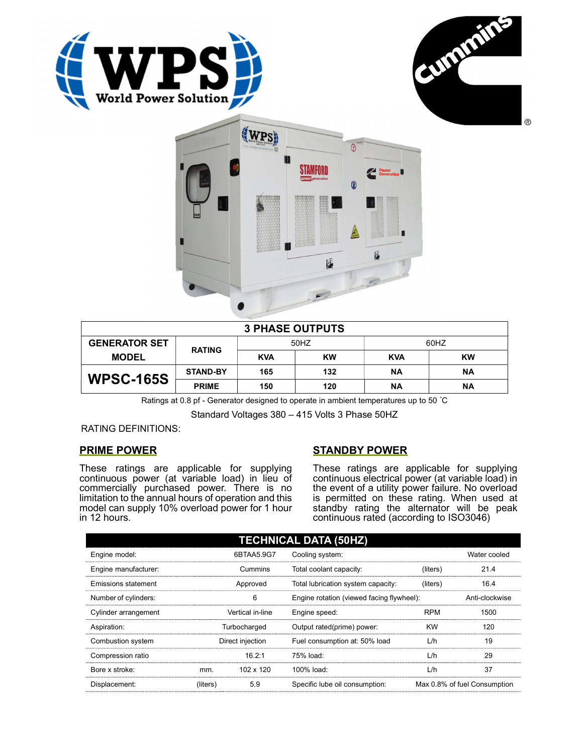





| <b>3 PHASE OUTPUTS</b> |                 |            |           |            |           |  |
|------------------------|-----------------|------------|-----------|------------|-----------|--|
| <b>GENERATOR SET</b>   | <b>RATING</b>   | 50HZ       |           | 60HZ       |           |  |
| <b>MODEL</b>           |                 | <b>KVA</b> | <b>KW</b> | <b>KVA</b> | <b>KW</b> |  |
| <b>WPSC-165S</b>       | <b>STAND-BY</b> | 165        | 132       | ΝA         | ΝA        |  |
|                        | <b>PRIME</b>    | 150        | 120       | ΝA         | ΝA        |  |

Ratings at 0.8 pf - Generator designed to operate in ambient temperatures up to 50 °C

Standard Voltages 380 – 415 Volts 3 Phase 50HZ

RATING DEFINITIONS:

# PRIME POWER

These ratings are applicable for supplying continuous power (at variable load) in lieu of commercially purchased power. There is no limitation to the annual hours of operation and this model can supply 10% overload power for 1 hour in 12 hours.

# STANDBY POWER

These ratings are applicable for supplying continuous electrical power (at variable load) in the event of a utility power failure. No overload is permitted on these rating. When used at standby rating the alternator will be peak continuous rated (according to ISO3046)

| <b>TECHNICAL DATA (50HZ)</b> |                  |           |                                           |            |                              |  |
|------------------------------|------------------|-----------|-------------------------------------------|------------|------------------------------|--|
| Engine model:                | 6BTAA5.9G7       |           | Cooling system:                           |            | Water cooled                 |  |
| Engine manufacturer:         | Cummins          |           | Total coolant capacity:                   | (liters)   | 21.4                         |  |
| Emissions statement          | Approved         |           | Total lubrication system capacity:        | (liters)   | 16.4                         |  |
| Number of cylinders:         | 6                |           | Engine rotation (viewed facing flywheel): |            | Anti-clockwise               |  |
| Cylinder arrangement         | Vertical in-line |           | Engine speed:                             | <b>RPM</b> | 1500                         |  |
| Aspiration:                  | Turbocharged     |           | Output rated(prime) power:                | <b>KW</b>  | 120                          |  |
| Combustion system            | Direct injection |           | Fuel consumption at: 50% load             | L/h        | 19                           |  |
| Compression ratio            |                  | 16.2:1    | 75% load:                                 | L/h        | 29                           |  |
| Bore x stroke:               | mm.              | 102 x 120 | 100% load:                                | L/h        | 37                           |  |
| Displacement:                | (liters)         | 5.9       | Specific lube oil consumption:            |            | Max 0.8% of fuel Consumption |  |